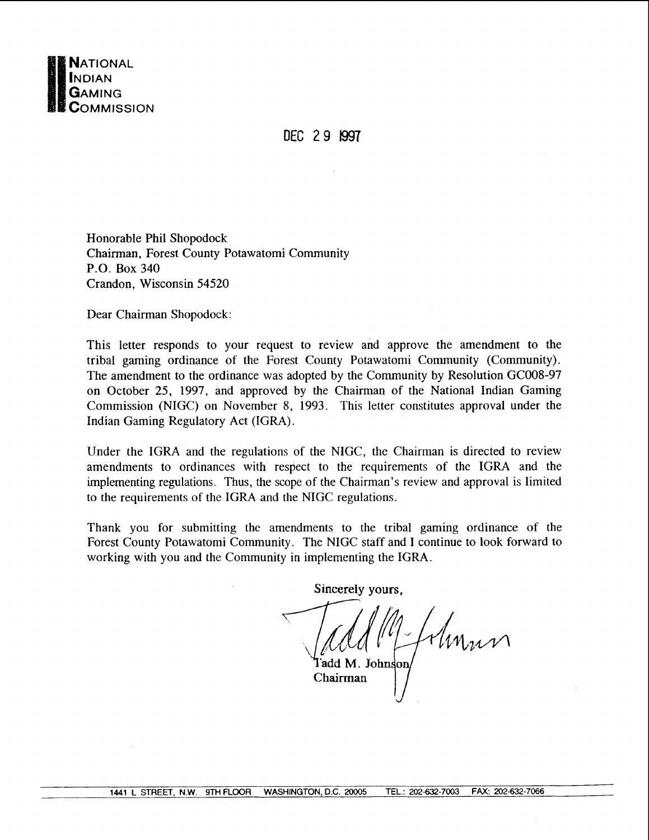

DEC 2 9 I997

Honorable Phil Shopodock Chairman, Forest County Potawatomi Community P.O. Box 340 Crandon, Wisconsin 54520

Dear Chairman Shopodock:

This letter responds to your request to review and approve the amendment to the tribal gaming ordinance of the Forest County Potawatomi Community (Community). The amendment to the ordinance was adopted by the Community by Resolution GC008-97 on October 25, 1997, and approved by the Chairman of the National Indian Gaming Commission (NIGC) on November 8, 1993. This letter constitutes approval under the Indian Gaming Regulatory Act (IGRA).

Under the IGRA and the regulations of the NIGC, the Chairman is directed to review amendments to ordinances with respect to the requirements of the IGRA and the implementing regulations. Thus, the scope of the Chairman's review and approval is limited to the requirements of the IGRA and the NIGC regulations.

Thank you for submitting the amendments to the tribal gaming ordinance of the Forest County Potawatomi Community. The NIGC staff and I continue to look forward to working with you and the Community in implementing the IGRA.

**Sincerely yours,** *75i!&@~%3d* 'add M. **Jo**  Chairman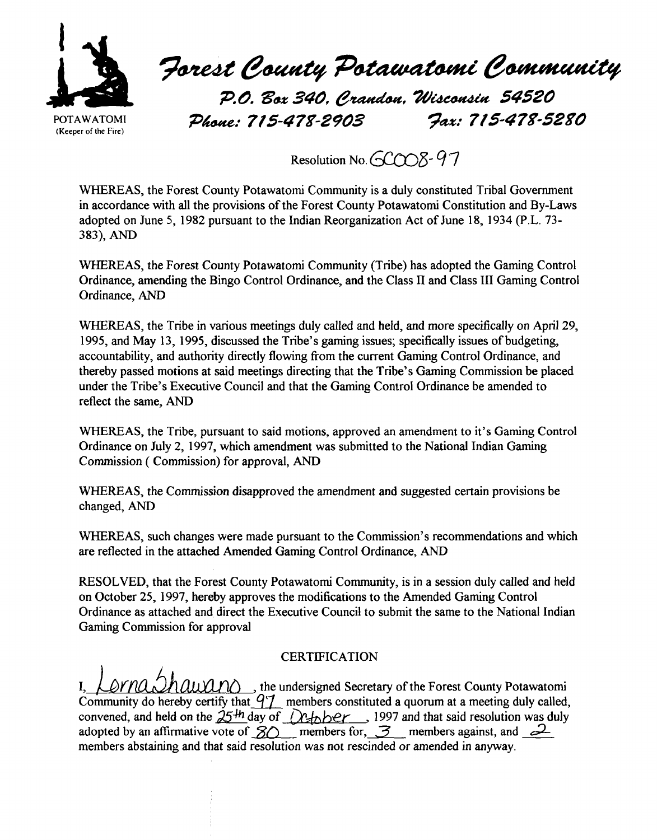

Forest County Potawatomi Community

P.O. Box 340, Crandon, Wisconsin 54520 **Pb: 715-478-2903 ?ax: 715-4 78-5280** 

Resolution No. **-COOS**-97

WHEREAS, the Forest County Potawatomi Community is a duly constituted Tribal Government in accordance with all the provisions of the Forest County Potawatomi Constitution and By-Laws adopted on June 5, 1982 pursuant to the Indian Reorganization Act of June 18, 1934 (P.L. 73- 383), AND

WHEREAS, the Forest County Potawatomi Community (Tribe) has adopted the Gaming Control Ordinance, amending the Bingo Control Ordinance, and the Class **II** and Class 111 Gaming Control Ordinance, AND

WHEREAS, the Tribe in various meetings duly called and held, and more specifically on April 29, 1995, and May 13, 1995, discussed the Tribe's gaming issues; specifically issues of budgeting, accountability, and authority directly flowing from the current Gaming Control Ordinance, and thereby passed motions at said meetings directing that the Tribe's Gaming Commission be placed under the Tribe's Executive Council and that the Gaming Control Ordinance be amended to reflect the same, AND

WHEREAS, the Tribe, pursuant to said motions, approved an amendment to it's Gaming Control Ordinance on July 2, 1997, which amendment was submitted to the National Indian Gaming Commission ( Commission) for approval, AND

WHEREAS, the Commission disapproved the amendment and suggested certain provisions be changed, AND

WHEREAS, such changes were made pursuant to the Commission's recommendations and which are reflected in the attached Amended Gaming Control Ordinance, AND

RESOLVED, that the Forest County Potawatomi Community, is in a session duly called and held on October 25, 1997, hereby approves the modifications to the Amended Gaming Control Ordinance as attached and direct the Executive Council to submit the same to the National Indian Gaming Commission for approval

# **CERTIFICATION**

 $\mathcal{D}rn\alpha\mathcal{D}h$  and  $\alpha\alpha\gamma$  , the undersigned Secretary of the Forest County Potawatomi Community do hereby certify that  $q\bar{z}$  members constituted a quorum at a meeting duly called, community ao nereby certify that  $\frac{q}{L}$  members constituted a quorum at a meeting duly called,<br>convened, and held on the  $25$ <sup>th</sup> day of  $L$ <sub>th</sub> bey , 1997 and that said resolution was duly<br>adopted by an affirmative vo members abstaining and that said resolution was not rescinded or amended in anyway.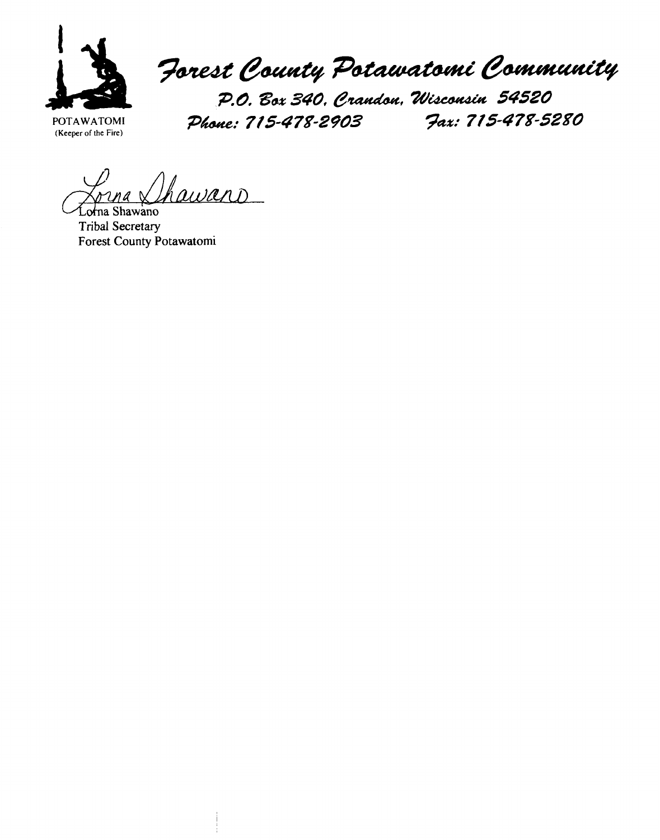

Forest County Potawatomi Community

**POTAWATOMI** 

P.O. Box 340, Crandon, Wisconsin 54520 **(Keeper of the Fire) Pk/ 715-4 78-2903 ?a%: 715-4 78-5280** 

Thawans

Shawano **Tribal Secretary Forest County Potawatomi**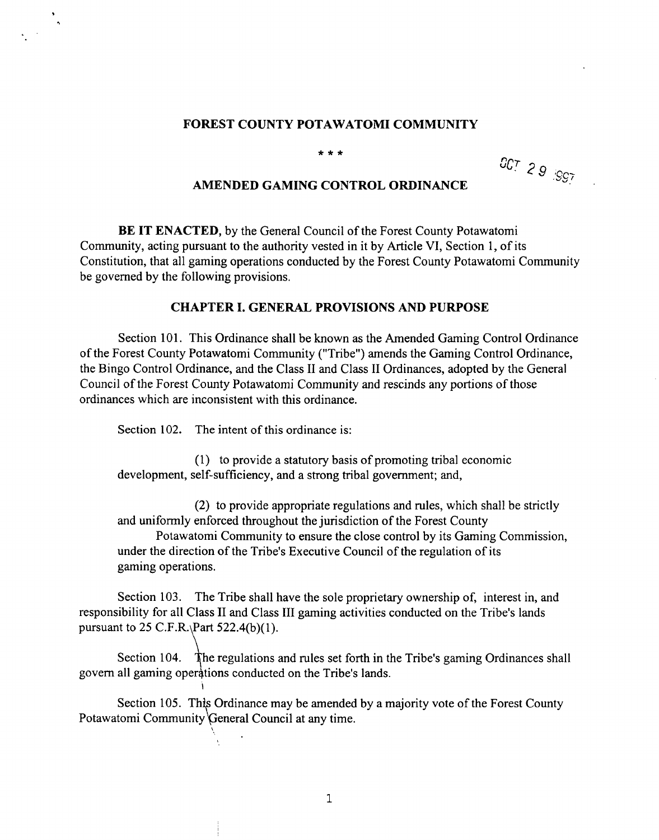#### **FOREST COUNTY POTAWATOMI COMMUNITY**

 $* * *$ 

OCT 29 .997

### **AMENDED GAMING CONTROL ORDINANCE**

**BE IT ENACTED,** by the General Council of the Forest County Potawatomi Community, acting pursuant to the authority vested in it by Article VI, Section 1, of its Constitution, that all gaming operations conducted by the Forest County Potawatomi Community be governed by the following provisions.

#### **CHAPTER I. GENERAL PROVISIONS AND PURPOSE**

Section 101. This Ordinance shall be known as the Amended Gaming Control Ordinance of the Forest County Potawatomi Community ("Tribe") amends the Gaming Control Ordinance, the Bingo Control Ordinance, and the Class I1 and Class I1 Ordinances, adopted by the General Council of the Forest County Potawatomi Community and rescinds any portions of those ordinances which are inconsistent with this ordinance.

Section 102. The intent of this ordinance is:

**I** 

'.,

(1) to provide a statutory basis of promoting tribal economic development, self-sufficiency, and a strong tribal government; and,

(2) to provide appropriate regulations and rules, which shall be strictly and uniformly enforced throughout the jurisdiction of the Forest County

Potawatomi Community to ensure the close control by its Gaming Commission, under the direction of the Tribe's Executive Council of the regulation of its gaming operations.

Section 103. The Tribe shall have the sole proprietary ownership of, interest in, and responsibility for all Class I1 and Class I11 gaming activities conducted on the Tribe's lands pursuant to 25 C.F.R.  $Part 522.4(b)(1)$ .

Section 104. The regulations and rules set forth in the Tribe's gaming Ordinances shall govern all gaming operations conducted on the Tribe's lands.

Section 105. This Ordinance may be amended by a majority vote of the Forest County Potawatomi Community General Council at any time.

 $\mathbf{1}$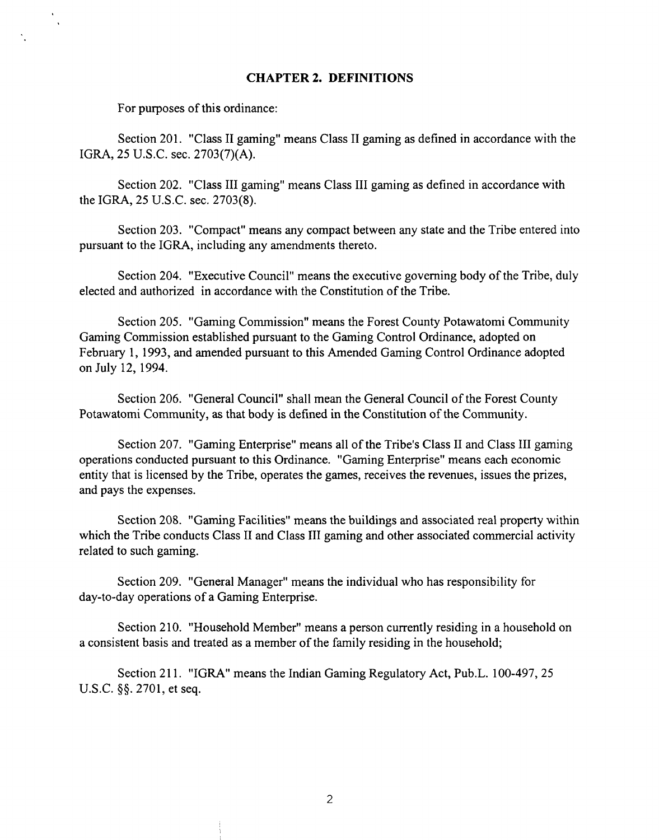### **CHAPTER 2. DEFINITIONS**

For purposes of this ordinance:

Section 201. "Class I1 gaming" means Class I1 gaming as defined in accordance with the IGRA, 25 U.S.C. sec. 2703(7)(A).

Section 202. "Class I11 gaming" means Class I11 gaming as defined in accordance with the IGRA, 25 U.S.C. sec. 2703(8).

Section 203. "Compact" means any compact between any state and the Tribe entered into pursuant to the IGRA, including any amendments thereto.

Section 204. "Executive Council" means the executive governing body of the Tribe, duly elected and authorized in accordance with the Constitution of the Tribe.

Section 205. "Gaming Commission" means the Forest County Potawatomi Community Gaming Commission established pursuant to the Gaming Control Ordinance, adopted on February 1, 1993, and amended pursuant to this Amended Gaming Control Ordinance adopted on July 12, 1994.

Section 206. "General Council" shall mean the General Council of the Forest County Potawatomi Community, as that body is defined in the Constitution of the Community.

Section 207. "Gaming Enterprise" means all of the Tribe's Class I1 and Class I11 gaming operations conducted pursuant to this Ordinance. "Gaming Enterprise" means each economic entity that is licensed by the Tribe, operates the games, receives the revenues, issues the prizes, and pays the expenses.

Section 208. "Gaming Facilities" means the buildings and associated real property within which the Tribe conducts Class II and Class III gaming and other associated commercial activity related to such gaming.

Section 209. "General Manager" means the individual who has responsibility for day-to-day operations of a Gaming Enterprise.

Section 210. "Household Member" means a person currently residing in a household on a consistent basis and treated as a member of the family residing in the household;

Section 211. "IGRA" means the Indian Gaming Regulatory Act, Pub.L. 100-497, 25 U.S.C. **\$9.** 2701, et seq.

 $\overline{2}$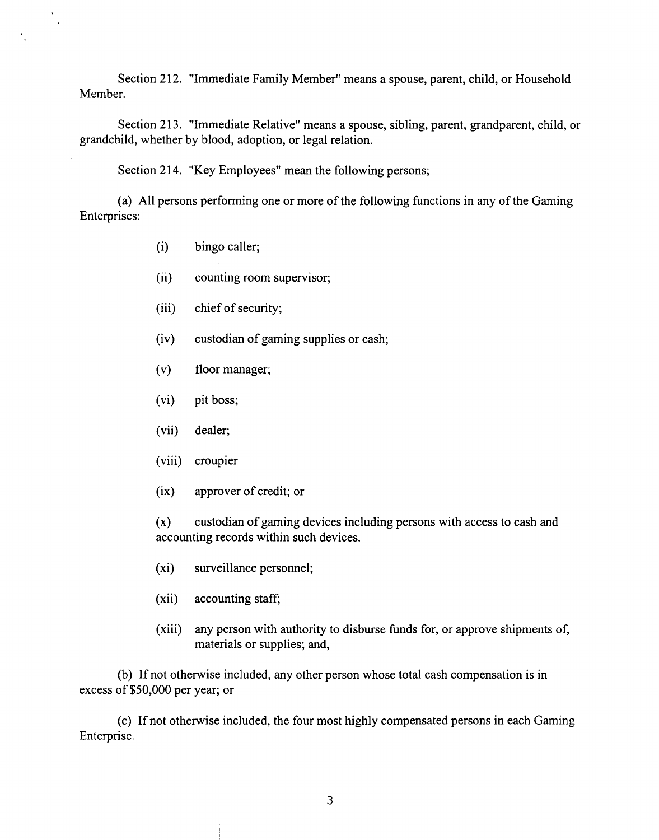Section 212. "Immediate Family Member" means a spouse, parent, child, or Household Member.

Section 213. "Immediate Relative" means a spouse, sibling, parent, grandparent, child, or grandchild, whether by blood, adoption, or legal relation.

Section 214. "Key Employees" mean the following persons;

(a) All persons performing one or more of the following functions in any of the Gaming Enterprises:

(i) bingo caller;

 $\ddot{\phantom{a}}$ 

- (ii) counting room supervisor;
- (iii) chief of security;
- (iv) custodian of gaming supplies or cash;
- (v) floor manager;
- (vi) pit boss;
- (vii) dealer;
- (viii) croupier
- (ix) approver of credit; or

(x) custodian of gaming devices including persons with access to cash and accounting records within such devices.

- (xi) surveillance personnel;
- $(xii)$  accounting staff;
- (xiii) any person with authority to disburse funds for, or approve shipments of, materials or supplies; and,

(b) If not otherwise included, any other person whose total cash compensation is in excess of \$50,000 per year; or

(c) If not otherwise included, the four most highly compensated persons in each Gaming Enterprise.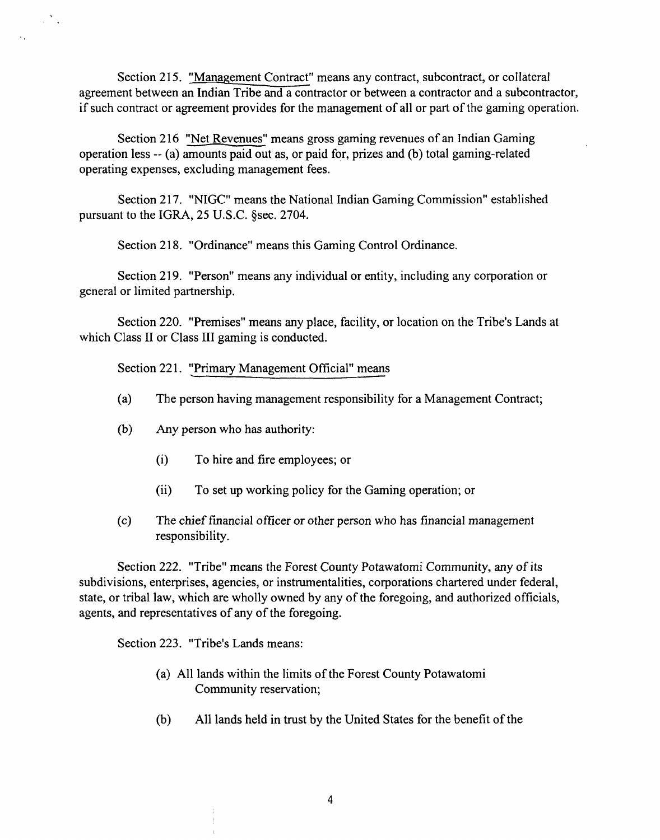Section 215. "Management Contract" means any contract, subcontract, or collateral agreement between an Indian Tribe and a contractor or between a contractor and a subcontractor, if such contract or agreement provides for the management of all or part of the gaming operation.

Section 216 "Net Revenues" means gross gaming revenues of an Indian Gaming operation less -- (a) amounts paid out as, or paid for, prizes and (b) total gaming-related operating expenses, excluding management fees.

Section 217. "NIGC" means the National Indian Gaming Commission" established pursuant to the IGRA, 25 U.S.C. §sec. 2704.

Section 218. "Ordinance" means this Gaming Control Ordinance.

Section 219. "Person" means any individual or entity, including any corporation or general or limited partnership.

Section 220. "Premises" means any place, facility, or location on the Tribe's Lands at which Class II or Class III gaming is conducted.

Section 221. "Primary Management Official" means

- (a) The person having management responsibility for a Management Contract;
- (b) Any person who has authority:

 $\sim 20$ 

- (i) To hire and fire employees; or
- (ii) To set up working policy for the Gaming operation; or
- (c) The chief fmancial officer or other person who has financial management responsibility.

Section 222. "Tribe" means the Forest County Potawatomi Community, any of its subdivisions, enterprises, agencies, or instrumentalities, corporations chartered under federal, state, or tribal law, which are wholly owned by any of the foregoing, and authorized officials, agents, and representatives of any of the foregoing.

Section 223. "Tribe's Lands means:

- (a) All lands within the limits of the Forest County Potawatomi Community reservation;
- (b) All lands held in trust by the United States for the benefit of the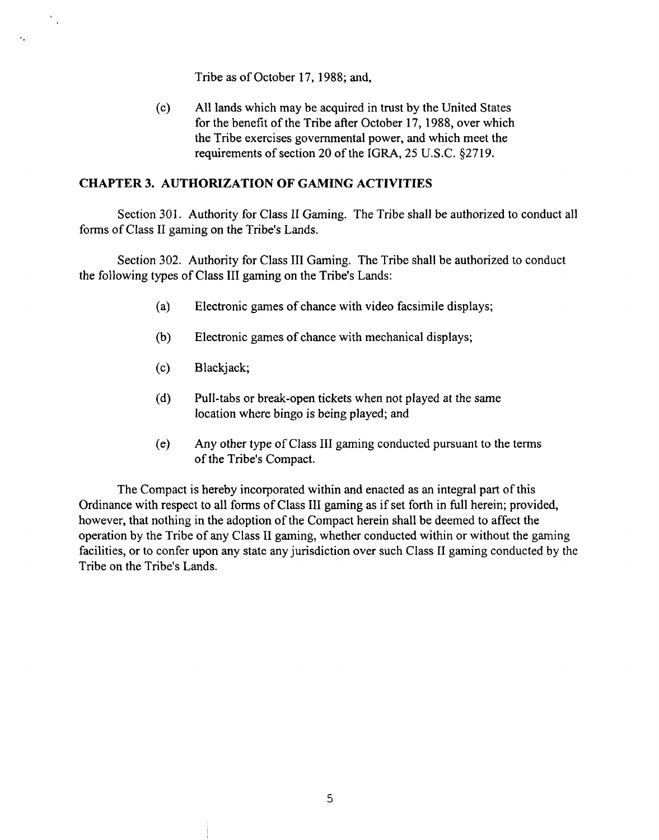Tribe as of October 17, 1988; and,

(c) All lands which may be acquired in trust by the United States for the benefit of the Tribe after October 17, 1988, over which the Tribe exercises governmental power, and which meet the requirements of section 20 of the IGRA, 25 U.S.C. \$2719.

#### **CHAPTER 3. AUTHORIZATION OF GAMING ACTIVITIES**

Section 301. Authority for Class II Gaming. The Tribe shall be authorized to conduct all forms of Class I1 gaming on the Tribe's Lands.

Section 302. Authority for Class 111 Gaming. The Tribe shall be authorized to conduct the following types of Class I11 gaming on the Tribe's Lands:

- (a) Electronic games of chance with video facsimile displays;
- (b) Electronic games of chance with mechanical displays;
- (c) Blackjack;

 $\mathbb{R}^2$ 

 $\ddot{\phantom{0}}$ 

- (d) Pull-tabs or break-open tickets when not played at the same location where bingo is being played; and
- (e) Any other type of Class 111 gaming conducted pursuant to the terms of the Tribe's Compact.

The Compact is hereby incorporated within and enacted as an integral part of this Ordinance with respect to all forms of Class I11 gaming as if set forth in full herein; provided, however, that nothing in the adoption of the Compact herein shall be deemed to affect the operation by the Tribe of any Class 11 gaming, whether conducted within or without the gaming facilities, or to confer upon any state any jurisdiction over such Class I1 gaming conducted by the Tribe on the Tribe's Lands.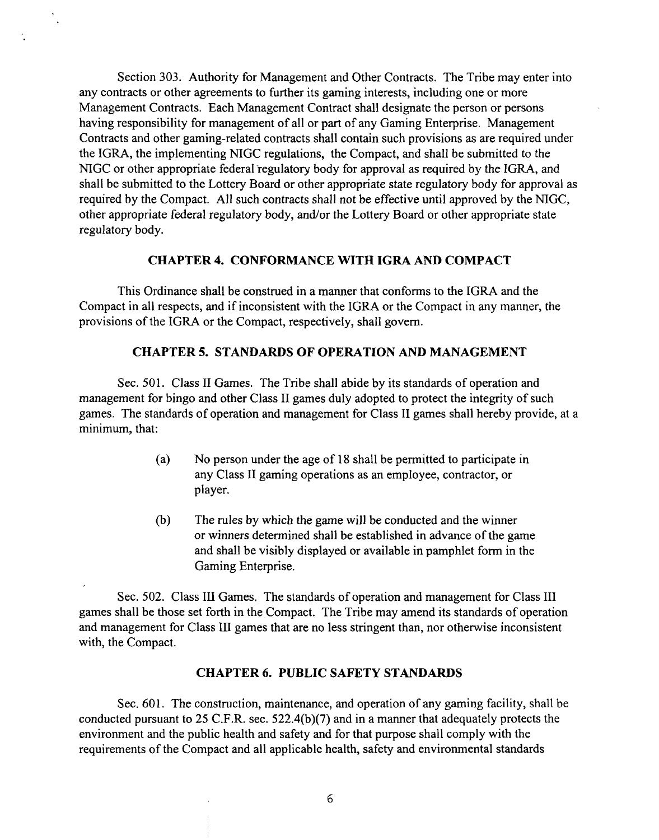Section **303.** Authority for Management and Other Contracts. The Tribe may enter into any contracts or other agreements to fiuther its gaming interests, including one or more Management Contracts. Each Management Contract shall designate the person or persons having responsibility for management of all or part of any Gaming Enterprise. Management Contracts and other gaming-related contracts shall contain such provisions as are required under the IGRA, the implementing NIGC regulations, the Compact, and shall be submitted to the NIGC or other appropriate federal regulatory body for approval as required by the IGRA, and shall be submitted to the Lottery Board or other appropriate state regulatory body for approval as required by the Compact. All such contracts shall not be effective until approved by the NIGC, other appropriate federal regulatory body, and/or the Lottery Board or other appropriate state regulatory body.

#### **CHAPTER 4. CONFORMANCE WITH IGRA AND COMPACT**

This Ordinance shall be construed in a manner that conforms to the IGRA and the Compact in all respects, and if inconsistent with the IGRA or the Compact in any manner, the provisions of the IGRA or the Compact, respectively, shall govern.

### **CHAPTER 5. STANDARDS OF OPERATION AND MANAGEMENT**

Sec. 501. Class I1 Games. The Tribe shall abide by its standards of operation and management for bingo and other Class I1 games duly adopted to protect the integrity of such games. The standards of operation and management for Class I1 games shall hereby provide, at a minimum, that:

- (a) No person under the age of 18 shall be permitted to participate in any Class I1 gaming operations as an employee, contractor, or player.
- (b) The rules by which the game will be conducted and the winner or winners determined shall be established in advance of the game and shall be visibly displayed or available in pamphlet form in the Gaming Enterprise.

Sec. 502. Class III Games. The standards of operation and management for Class III games shall be those set forth in the Compact. The Tribe may amend its standards of operation and management for Class I11 games that are no less stringent than, nor otherwise inconsistent with, the Compact.

#### **CHAPTER 6. PUBLIC SAFETY STANDARDS**

Sec. 601. The construction, maintenance, and operation of any gaming facility, shall be conducted pursuant to 25 C.F.R. sec. 522.4(b)(7) and in a manner that adequately protects the environment and the public health and safety and for that purpose shall comply with the requirements of the Compact and all applicable health, safety and environmental standards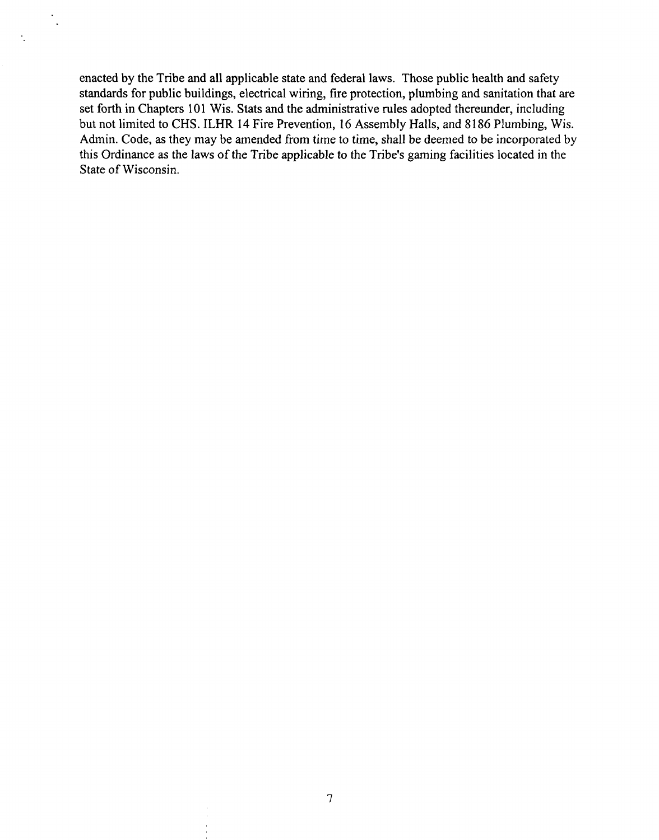enacted by the Tribe and all applicable state and federal laws. Those public health and safety standards for public buildings, electrical wiring, fire protection, plumbing and sanitation that are set forth in Chapters 101 Wis. Stats and the administrative rules adopted thereunder, including but not limited to CHS. lLHR 14 Fire Prevention, 16 Assembly Halls, and 8 186 Plumbing, Wis. Admin. Code, as they may be amended from time to time, shall be deemed to be incorporated by this Ordinance as the laws of the Tribe applicable to the Tribe's gaming facilities located in the State of Wisconsin.

 $\ddot{\phantom{a}}$  $\ddot{\phantom{0}}$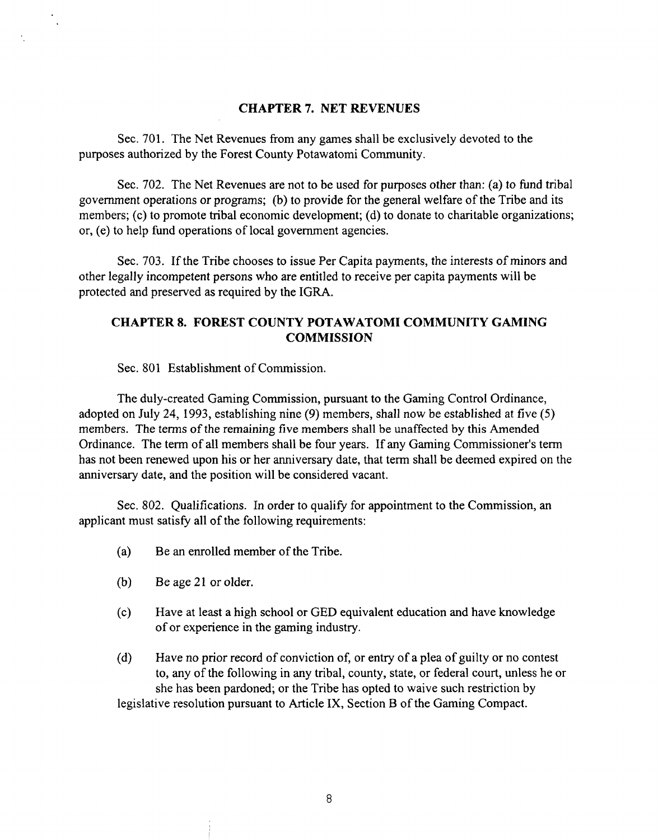### **CHAPTER 7. NET REVENUES**

Sec. 701. The Net Revenues from any games shall be exclusively devoted to the purposes authorized by the Forest County Potawatomi Community.

Sec. 702. The Net Revenues are not to be used for purposes other than: (a) to fund tribal government operations or programs; (b) to provide for the general welfare of the Tribe and its members; (c) to promote tribal economic development; (d) to donate to charitable organizations; or, (e) to help fund operations of local government agencies.

Sec. 703. If the Tribe chooses to issue Per Capita payments, the interests of minors and other legally incompetent persons who are entitled to receive per capita payments will be protected and preserved as required by the IGRA.

### **CHAPTER 8. FOREST COUNTY POTAWATOMI COMMUNITY GAMING COMMISSION**

Sec. 801 Establishment of Commission.

The duly-created Gaming Commission, pursuant to the Gaming Control Ordinance, adopted on July 24, 1993, establishing nine (9) members, shall now be established at five (5) members. The terms of the remaining five members shall be unaffected by this Amended Ordinance. The term of all members shall be four years. If any Gaming Commissioner's term has not been renewed upon his or her anniversary date, that term shall be deemed expired on the anniversary date, and the position will be considered vacant.

Sec. 802. Qualifications. In order to qualify for appointment to the Commission, an applicant must satisfy all of the following requirements:

- (a) Be an enrolled member of the Tribe.
- (b) Be age 21 or older.
- (c) Have at least a high school or GED equivalent education and have knowledge of or experience in the gaming industry.
- (d) Have no prior record of conviction of, or entry of a plea of guilty or no contest to, any of the following in any tribal, county, state, or federal court, unless he or she has been pardoned; or the Tribe has opted to waive such restriction by legislative resolution pursuant to Article IX, Section B of the Gaming Compact.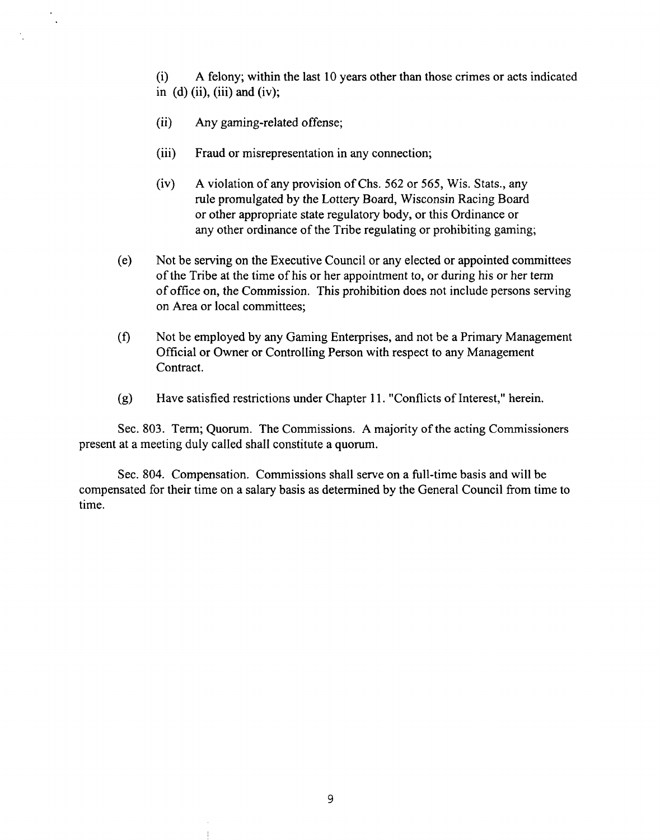(i) **A** felony; within the last 10 years other than those crimes or acts indicated in  $(d)$  (ii), (iii) and (iv);

- (ii) Any gaming-related offense;
- (iii) Fraud or misrepresentation in any connection;
- (iv) **A** violation of any provision of Chs. *562* or 565, Wis. Stats., any rule promulgated by the Lottery Board, Wisconsin Racing Board or other appropriate state regulatory body, or this Ordinance or any other ordinance of the Tribe regulating or prohibiting gaming;
- (e) Not be serving on the Executive Council or any elected or appointed committees of the Tribe at the time of his or her appointment to, or during his or her term of office on, the Commission. This prohibition does not include persons serving on Area or local committees;
- (f) Not be employed by any Gaming Enterprises, and not be a Primary Management Official or Owner or Controlling Person with respect to any Management Contract.
- (g) Have satisfied restrictions under Chapter 11. "Conflicts of Interest," herein.

Sec. 803. Term; Quorum. The Commissions. **A** majority of the acting Commissioners present at a meeting duly called shall constitute a quorum.

Sec. 804. Compensation. Commissions shall serve on a full-time basis and will be compensated for their time on a salary basis as determined by the General Council from time to time.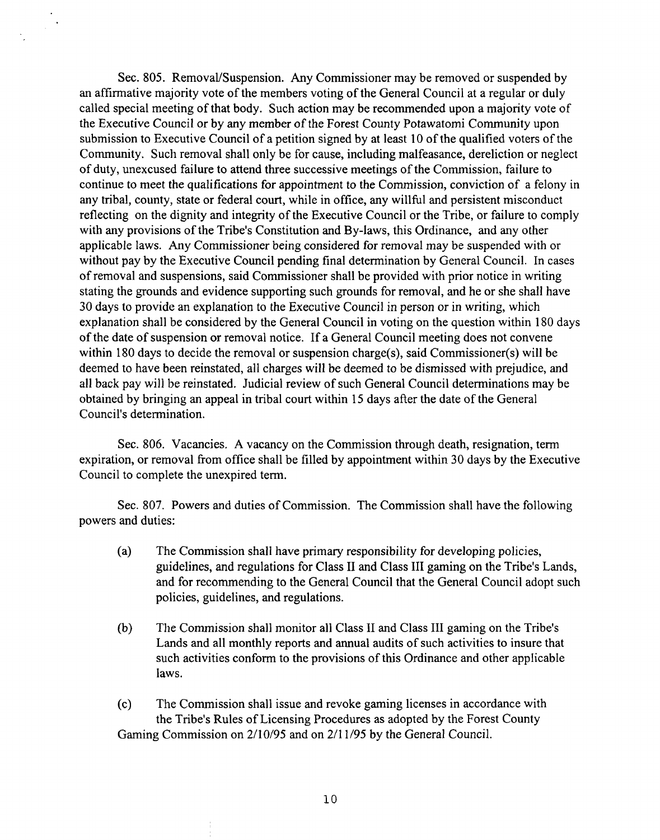Sec. 805. Removal/Suspension. Any Commissioner may be removed or suspended by an affirmative majority vote of the members voting of the General Council at a regular or duly called special meeting of that body. Such action may be recommended upon a majority vote of the Executive Council or by any member of the Forest County Potawatomi Community upon submission to Executive Council of a petition signed by at least 10 of the qualified voters of the Community. Such removal shall only be for cause, including malfeasance, dereliction or neglect of duty, unexcused failure to attend three successive meetings of the Commission, failure to continue to meet the qualifications for appointment to the Commission, conviction of a felony in any tribal, county, state or federal court, while in office, any willful and persistent misconduct reflecting on the dignity and integrity of the Executive Council or the Tribe, or failure to comply with any provisions of the Tribe's Constitution and By-laws, this Ordinance, and any other applicable laws. Any Commissioner being considered for removal may be suspended with or without pay by the Executive Council pending final determination by General Council. In cases of removal and suspensions, said Commissioner shall be provided with prior notice in writing stating the grounds and evidence supporting such grounds for removal, and he or she shall have 30 days to provide an explanation to the Executive Council in person or in writing, which explanation shall be considered by the General Council in voting on the question within 180 days of the date of suspension or removal notice. If a General Council meeting does not convene within 180 days to decide the removal or suspension charge(s), said Commissioner(s) will be deemed to have been reinstated, all charges will be deemed to be dismissed with prejudice, and all back pay will be reinstated. Judicial review of such General Council determinations may be obtained by bringing an appeal in tribal court within 15 days after the date of the General Council's determination.

 $\mathcal{L}_{\mathcal{L}}$ 

Sec. 806. Vacancies. A vacancy on the Commission through death, resignation, term expiration, or removal from office shall be filled by appointment within 30 days by the Executive Council to complete the unexpired term.

Sec. 807. Powers and duties of Commission. The Commission shall have the following powers and duties:

- (a) The Commission shall have primary responsibility for developing policies, guidelines, and regulations for Class I1 and Class I11 gaming on the Tribe's Lands, and for recommending to the General Council that the General Council adopt such policies, guidelines, and regulations.
- (b) The Commission shall monitor all Class I1 and Class 111 gaming on the Tribe's Lands and all monthly reports and annual audits of such activities to insure that such activities conform to the provisions of this Ordinance and other applicable laws.
- (c) The Commission shall issue and revoke gaming licenses in accordance with the Tribe's Rules of Licensing Procedures as adopted by the Forest County Gaming Commission on 2/10/95 and on 2/11/95 by the General Council.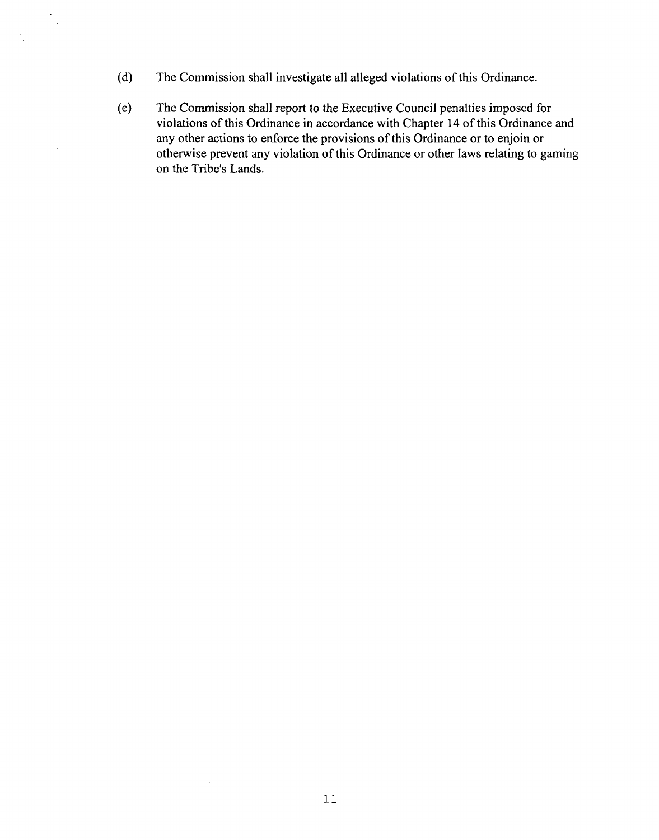(d) The Commission shall investigate all alleged violations of this Ordinance.

 $\mathcal{A}$  $\ddot{\phantom{a}}$ 

> (e) The Commission shall report to the Executive Council penalties imposed for violations of this Ordinance in accordance with Chapter 14 of this Ordinance and any other actions to enforce the provisions of this Ordinance or to enjoin or otherwise prevent any violation of this Ordinance or other laws relating to gaming on the Tribe's Lands.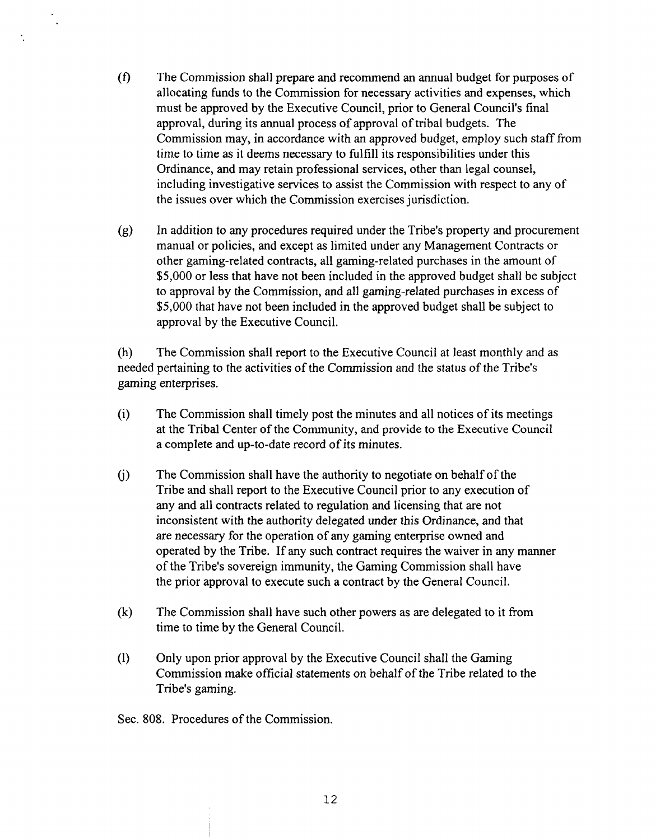- *(0* The Commission shall prepare and recommend an annual budget for purposes of allocating funds to the Commission for necessary activities and expenses, which must be approved by the Executive Council, prior to General Council's final approval, during its annual process of approval of tribal budgets. The Commission may, in accordance with an approved budget, employ such staff from time to time as it deems necessary to fulfill its responsibilities under this Ordinance, and may retain professional services, other than legal counsel, including investigative services to assist the Commission with respect to any of the issues over which the Commission exercises jurisdiction.
- (g) In addition to any procedures required under the Tribe's property and procurement manual or policies, and except as limited under any Management Contracts or other gaming-related contracts, all gaming-related purchases in the amount of \$5,000 or less that have not been included in the approved budget shall be subject to approval by the Commission, and all gaming-related purchases in excess of \$5,000 that have not been included in the approved budget shall be subject to approval by the Executive Council.

(h) The Commission shall report to the Executive Council at least monthly and as needed pertaining to the activities of the Commission and the status of the Tribe's gaming enterprises.

- (i) The Commission shall timely post the minutes and all notices of its meetings at the Tribal Center of the Community, and provide to the Executive Council a complete and up-to-date record of its minutes.
- (j) The Commission shall have the authority to negotiate on behalf of the Tribe and shall report to the Executive Council prior to any execution of any and all contracts related to regulation and licensing that are not inconsistent with the authority delegated under this Ordinance, and that are necessary for the operation of any gaming enterprise owned and operated by the Tribe. If any such contract requires the waiver in any manner of the Tribe's sovereign immunity, the Gaming Commission shall have the prior approval to execute such a contract by the General Council.
- **(k)** Tlle Commission shall have such other powers as are delegated to it from time to time by the General Council.
- (1) Only upon prior approval by the Executive Council shall the Gaming Commission make official statements on behalf of the Tribe related to the Tribe's gaming.

Sec. 808. Procedures of the Commission.

 $\dot{\mathcal{L}}$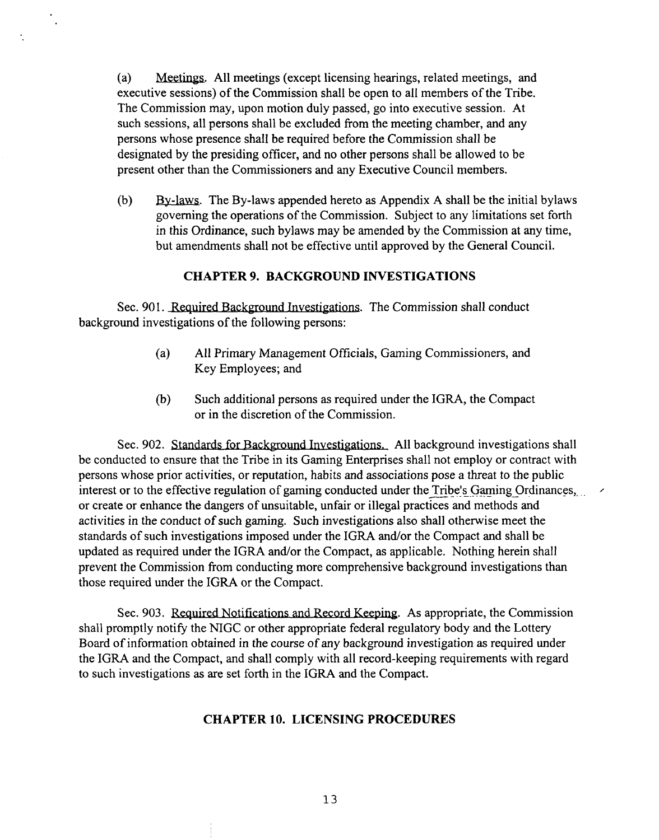(a) Meetings. All meetings (except licensing hearings, related meetings, and executive sessions) of the Commission shall be open to all members of the Tribe. The Commission may, upon motion duly passed, go into executive session. At such sessions, all persons shall be excluded from the meeting chamber, and any persons whose presence shall be required before the Commission shall be designated by the presiding officer, and no other persons shall be allowed to be present other than the Commissioners and any Executive Council members.

(b) By-laws. The By-laws appended hereto as Appendix A shall be the initial bylaws governing the operations of the Commission. Subject to any limitations set forth in this Ordinance, such bylaws may be amended by the Commission at any time, but amendments shall not be effective until approved by the General Council.

### **CHAPTER 9. BACKGROUND INVESTIGATIONS**

Sec. 901. Required Background Investigations. The Commission shall conduct background investigations of the following persons:

- (a) All Primary Management Officials, Gaming Commissioners, and Key Employees; and
- (b) Such additional persons as required under the IGRA, the Compact or in the discretion of the Commission.

Sec. 902. Standards for Background Investigations. All background investigations shall be conducted to ensure that the Tribe in its Gaming Enterprises shall not employ or contract with persons whose prior activities, or reputation, habits and associations pose a threat to the public interest or to the effective regulation of gaming conducted under the Tribe's Gaming Ordinances,... or create or enhance the dangers of unsuitable, unfair or illegal practices and methods and activities in the conduct of such gaming. Such investigations also shall otherwise meet the standards of such investigations imposed under the IGRA and/or the Compact and shall be updated as required under the IGRA and/or the Compact, as applicable. Nothing herein shall prevent the Commission from conducting more comprehensive background investigations than those required under the IGRA or the Compact.

Sec. 903. Required Notifications and Record Keeping. As appropriate, the Commission shall promptly notify the NIGC or other appropriate federal regulatory body and the Lottery Board of information obtained in the course of any background investigation as required under the IGRA and the Compact, and shall comply with all record-keeping requirements with regard to such investigations as are set forth in the IGRA and the Compact.

#### **CHAPTER 10. LICENSING PROCEDURES**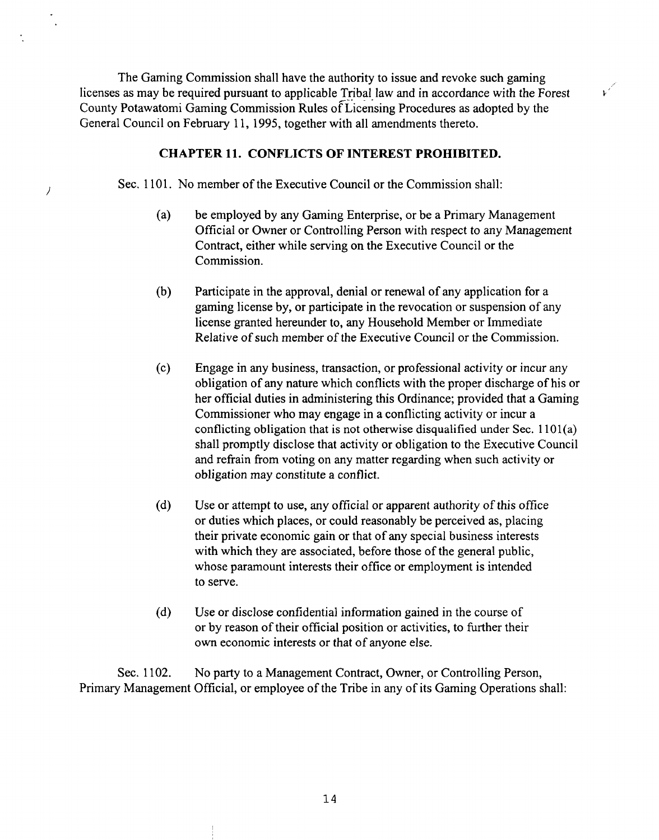The Gaming Commission shall have the authority to issue and revoke such gaming<br>licenses as may be required pursuant to applicable Tribal law and in accordance with the Forest licenses as may be required pursuant to applicable Tribal law and in accordance with the Forest  $k^2$ <br>County Potawatomi Gaming Commission Rules of Licensing Procedures as adopted by the General Council on February 11, 1995, together with all amendments thereto.

#### **CHAPTER 11. CONFLICTS OF INTEREST PROHIBITED.**

Sec. 1101. No member of the Executive Council or the Commission shall:

 $\overline{\phantom{a}}$ 

- (a) be employed by any Gaming Enterprise, or be a Primary Management Official or Owner or Controlling Person with respect to any Management Contract, either while serving on the Executive Council or the Commission.
- (b) Participate in the approval, denial or renewal of any application for a gaming license by, or participate in the revocation or suspension of any license granted hereunder to, any Household Member or Immediate Relative of such member of the Executive Council or the Commission.
- (c) Engage in any business, transaction, or professional activity or incur any obligation of any nature which conflicts with the proper discharge of his or her official duties in administering this Ordinance; provided that a Gaming Commissioner who may engage in a conflicting activity or incur a conflicting obligation that is not otherwise disqualified under Sec. 1101(a) shall promptly disclose that activity or obligation to the Executive Council and refrain fiom voting on any matter regarding when such activity or obligation may constitute a conflict.
- (d) Use or attempt to use, any official or apparent authority of this office or duties which places, or could reasonably be perceived as, placing their private economic gain or that of any special business interests with which they are associated, before those of the general public, whose paramount interests their office or employment is intended to serve.
- (d) Use or disclose confidential information gained in the course of or by reason of their official position or activities, to hrther their own economic interests or that of anyone else.

Sec. 1102. No party to a Management Contract, Owner, or Controlling Person, Primary Management Official, or employee of the Tribe in any of its Gaming Operations shall: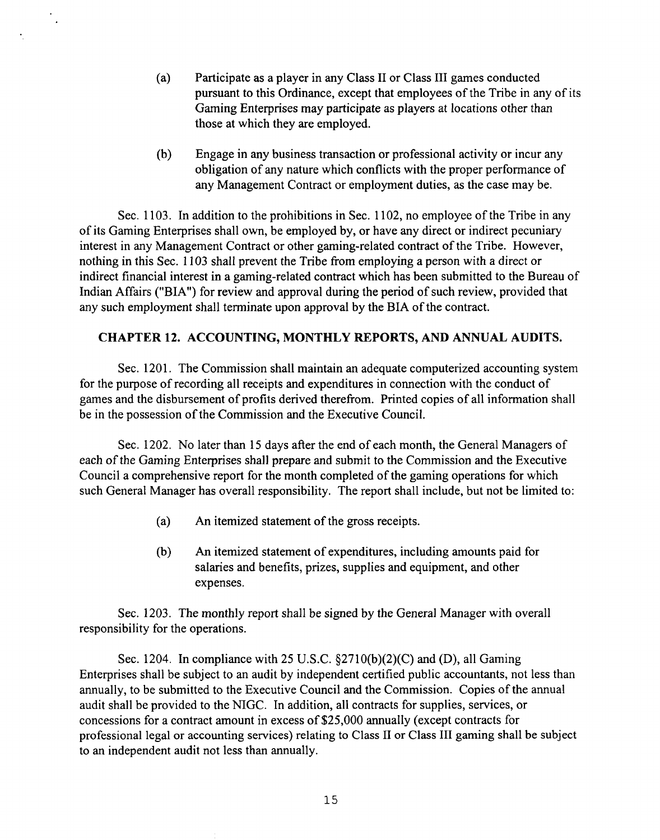- (a) Participate as a player in any Class I1 or Class I11 games conducted pursuant to this Ordinance, except that employees of the Tribe in any of its Gaming Enterprises may participate as players at locations other than those at which they are employed.
- (b) Engage in any business transaction or professional activity or incur any obligation of any nature which conflicts with the proper performance of any Management Contract or employment duties, as the case may be.

Sec. 1103. In addition to the prohibitions in Sec. 1102, no employee of the Tribe in any of its Gaming Enterprises shall own, be employed by, or have any direct or indirect pecuniary interest in any Management Contract or other gaming-related contract of the Tribe. However, nothing in this Sec. 1 103 shall prevent the Tribe from employing a person with a direct or indirect financial interest in a gaming-related contract which has been submitted to the Bureau of Indian Affairs ("BIA") for review and approval during the period of such review, provided that any such employment shall terminate upon approval by the BIA of the contract.

 $\ddot{\phantom{a}}$ 

### **CHAPTER 12. ACCOUNTING, MONTHLY REPORTS, AND ANNUAL AUDITS.**

Sec. 1201. The Commission shall maintain an adequate computerized accounting system for the purpose of recording all receipts and expenditures in connection with the conduct of games and the disbursement of profits derived therefrom. Printed copies of all information shall be in the possession of the Commission and the Executive Council.

Sec. 1202. No later than 15 days after the end of each month, the General Managers of each of the Gaming Enterprises shall prepare and submit to the Commission and the Executive Council a comprehensive report for the month completed of the gaming operations for which such General Manager has overall responsibility. The report shall include, but not be limited to:

- (a) **An** itemized statement of the gross receipts.
- (b) **An** itemized statement of expenditures, including amounts paid for salaries and benefits, prizes, supplies and equipment, and other expenses.

Sec. 1203. The monthly report shall be signed by the General Manager with overall responsibility for the operations.

Sec. 1204. In compliance with 25 U.S.C. §2710(b)(2)(C) and (D), all Gaming Enterprises shall be subject to an audit by independent certified public accountants, not less than annually, to be submitted to the Executive Council and the Commission. Copies of the annual audit shall be provided to the NIGC. In addition, all contracts for supplies, services, or concessions for a contract amount in excess of \$25,000 annually (except contracts for professional legal or accounting services) relating to Class I1 or Class I11 gaming shall be subject to an independent audit not less than annually.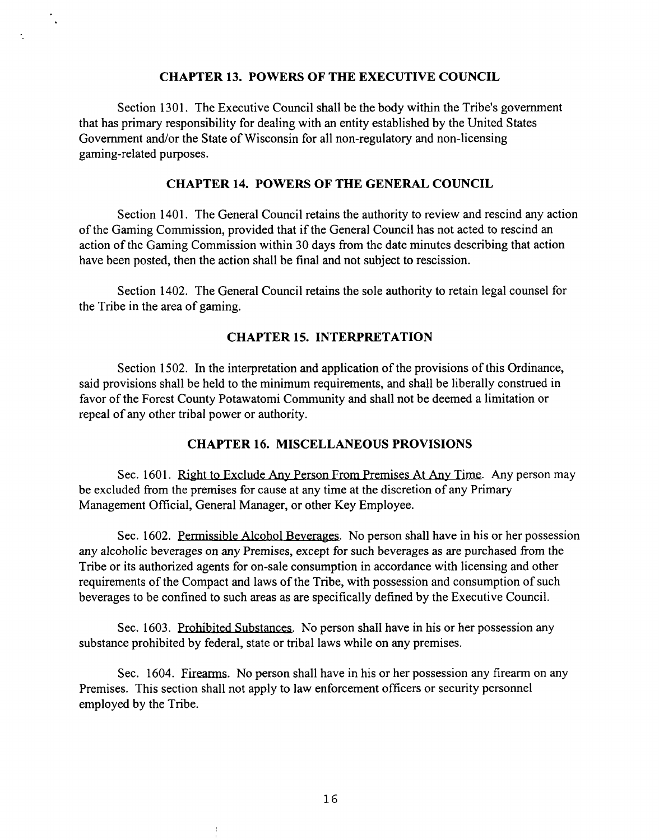#### **CHAPTER 13. POWERS OF THE EXECUTIVE COUNCIL**

 $\ddot{\phantom{a}}$ 

÷.

Section 1301. The Executive Council shall be the body within the Tribe's government that has primary responsibility for dealing with an entity established by the United States Government and/or the State of Wisconsin for all non-regulatory and non-licensing gaming-related purposes.

#### **CHAPTER 14. POWERS OF THE GENERAL COUNCIL**

Section 1401. The General Council retains the authority to review and rescind any action of the Gaming Commission, provided that if the General Council has not acted to rescind an action of the Gaming Commission within 30 days from the date minutes describing that action have been posted, then the action shall be final and not subject to rescission.

Section 1402. The General Council retains the sole authority to retain legal counsel for the Tribe in the area of gaming.

### **CHAPTER 15. INTERPRETATION**

Section 1502. In the interpretation and application of the provisions of this Ordinance, said provisions shall be held to the minimum requirements, and shall be liberally construed in favor of the Forest County Potawatomi Community and shall not be deemed a limitation or repeal of any other tribal power or authority.

#### **CHAPTER 16. MISCELLANEOUS PROVISIONS**

Sec. 1601. Right to Exclude Any Person From Premises At Any Time. Any person may be excluded from the premises for cause at any time at the discretion of any Primary Management Official, General Manager, or other Key Employee.

The United States of Marcuset Control of the States Control and The States Control and The action shall be final and not subject to rescission.<br>
Section 1402. The General Council retains the sole authority to retain legal any alcoholic beverages on any Premises, except for such beverages as are purchased from the Tribe or its authorized agents for on-sale consumption in accordance with licensing and other requirements of the Compact and laws of the Tribe, with possession and consumption of such beverages to be confined to such areas as are specifically defined by the Executive Council.

Sec. 1603. Prohibited Substances. No person shall have in his or her possession any substance prohibited by federal, state or tribal laws while on any premises.

Sec. 1604. Firearms. No person shall have in his or her possession any firearm on any Premises. This section shall not apply to law enforcement officers or security personnel employed by the Tribe.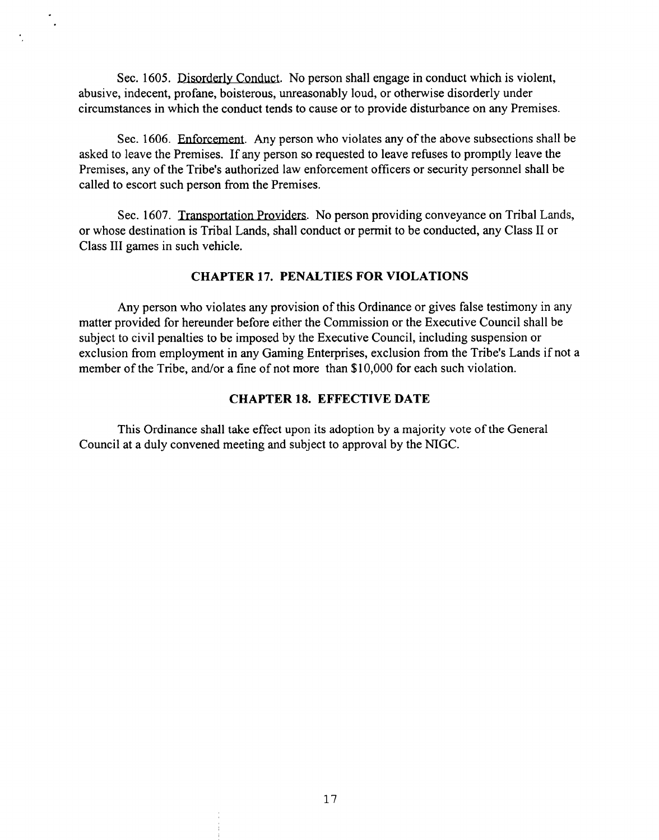Sec. 1605. Disorderly Conduct. No person shall engage in conduct which is violent, abusive, indecent, profane, boisterous, unreasonably loud, or otherwise disorderly under circumstances in which the conduct tends to cause or to provide disturbance on any Premises.

Sec. 1606. Enforcement. Any person who violates any of the above subsections shall be asked to leave the Premises. If any person so requested to leave refuses to promptly leave the Premises, any of the Tribe's authorized law enforcement officers or security personnel shall be called to escort such person from the Premises.

Sec. 1607. Transportation Providers. No person providing conveyance on Tribal Lands, or whose destination is Tribal Lands, shall conduct or permit to be conducted, any Class I1 or Class I11 games in such vehicle.

### **CHAPTER 17. PENALTIES FOR VIOLATIONS**

Any person who violates any provision of this Ordinance or gives false testimony in any matter provided for hereunder before either the Commission or the Executive Council shall be subject to civil penalties to be imposed by the Executive Council, including suspension or exclusion from employment in any Gaming Enterprises, exclusion from the Tribe's Lands if not a member of the Tribe, and/or a fine of not more than \$10,000 for each such violation.

## **CHAPTER 18. EFFECTIVE DATE**

This Ordinance shall take effect upon its adoption by **a** majority vote of the General Council at a duly convened meeting and subject to approval by the NIGC.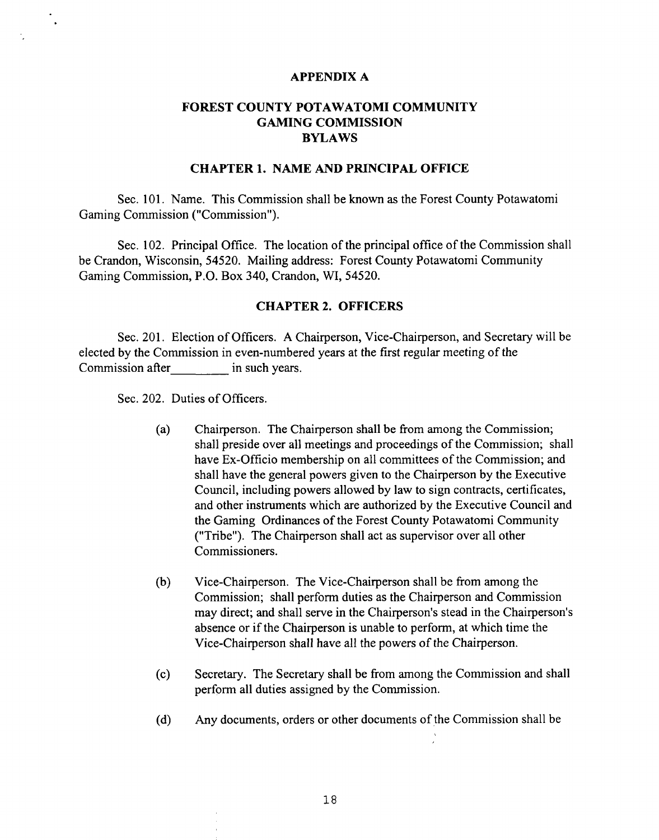#### **APPENDIX A**

## **FOREST COUNTY POTAWATOMI COMMUNITY GAMING COMMISSION BYLAWS**

#### **CHAPTER 1. NAME AND PRINCIPAL OFFICE**

Sec. 101. Name. This Commission shall be known as the Forest County Potawatomi Gaming Commission ("Commission").

Sec. 102. Principal Office. The location of the principal office of the Commission shall be Crandon, Wisconsin, 54520. Mailing address: Forest County Potawatomi Community Gaming Commission, P.O. Box 340, Crandon, WI, 54520.

#### **CHAPTER 2. OFFICERS**

Sec. 201. Election of Officers. A Chairperson, Vice-Chairperson, and Secretary will be elected by the Commission in even-numbered years at the first regular meeting of the Commission after in such years.

Sec. 202. Duties of Officers.

- (a) Chairperson. The Chairperson shall be from among the Commission; shall preside over all meetings and proceedings of the Commission; shall have Ex-Officio membership on all committees of the Commission; and shall have the general powers given to the Chairperson by the Executive Council, including powers allowed by law to sign contracts, certificates, and other instruments which are authorized by the Executive Council and the Gaming Ordinances of the Forest County Potawatomi Community ("Tribe"). The Chairperson shall act as supervisor over all other Commissioners.
- (b) Vice-Chairperson. The Vice-Chairperson shall be from among the Commission; shall perform duties as the Chairperson and Commission may direct; and shall serve in the Chairperson's stead in the Chairperson's absence or if the Chairperson is unable to perform, at which time the Vice-Chairperson shall have all the powers of the Chairperson.
- (c) Secretary. The Secretary shall be from among the Commission and shall perform all duties assigned by the Commission.
- (d) Any documents, orders or other documents of the Commission shall be  $\therefore$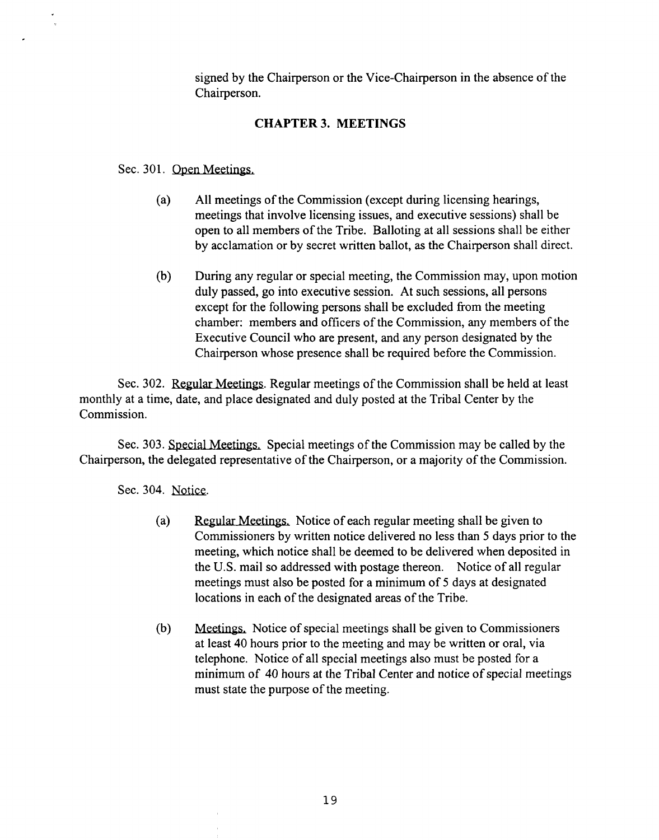signed by the Chairperson or the Vice-Chairperson in the absence of the Chairperson.

## **CHAPTER 3. MEETINGS**

Sec. 301. Open Meetings.

- (a) All meetings of the Commission (except during licensing hearings, meetings that involve licensing issues, and executive sessions) shall be open to all members of the Tribe. Balloting at all sessions shall be either by acclamation or by secret written ballot, as the Chairperson shall direct.
- (b) During any regular or special meeting, the Commission may, upon motion duly passed, go into executive session. At such sessions, all persons except for the following persons shall be excluded from the meeting chamber: members and officers of the Commission, any members of the Executive Council who are present, and any person designated by the Chairperson whose presence shall be required before the Commission.

Sec. 302. Regular Meetings. Regular meetings of the Commission shall be held at least monthly at a time, date, and place designated and duly posted at the Tribal Center by the Commission.

Sec. 303. Special Meetings. Special meetings of the Commission may be called by the Chairperson, the delegated representative of the Chairperson, or a majority of the Commission.

Sec. 304. Notice.

- (a) Regular Meetings. Notice of each regular meeting shall be given to Commissioners by written notice delivered no less than 5 days prior to the meeting, which notice shall be deemed to be delivered when deposited in the U.S. mail so addressed with postage thereon. Notice of all regular meetings must also be posted for a minimum of 5 days at designated locations in each of the designated areas of the Tribe.
- (b) Meetings. Notice of special meetings shall be given to Commissioners at least 40 hours prior to the meeting and may be written or oral, via telephone. Notice of all special meetings also must be posted for a minimum of 40 hours at the Tribal Center and notice of special meetings must state the purpose of the meeting.